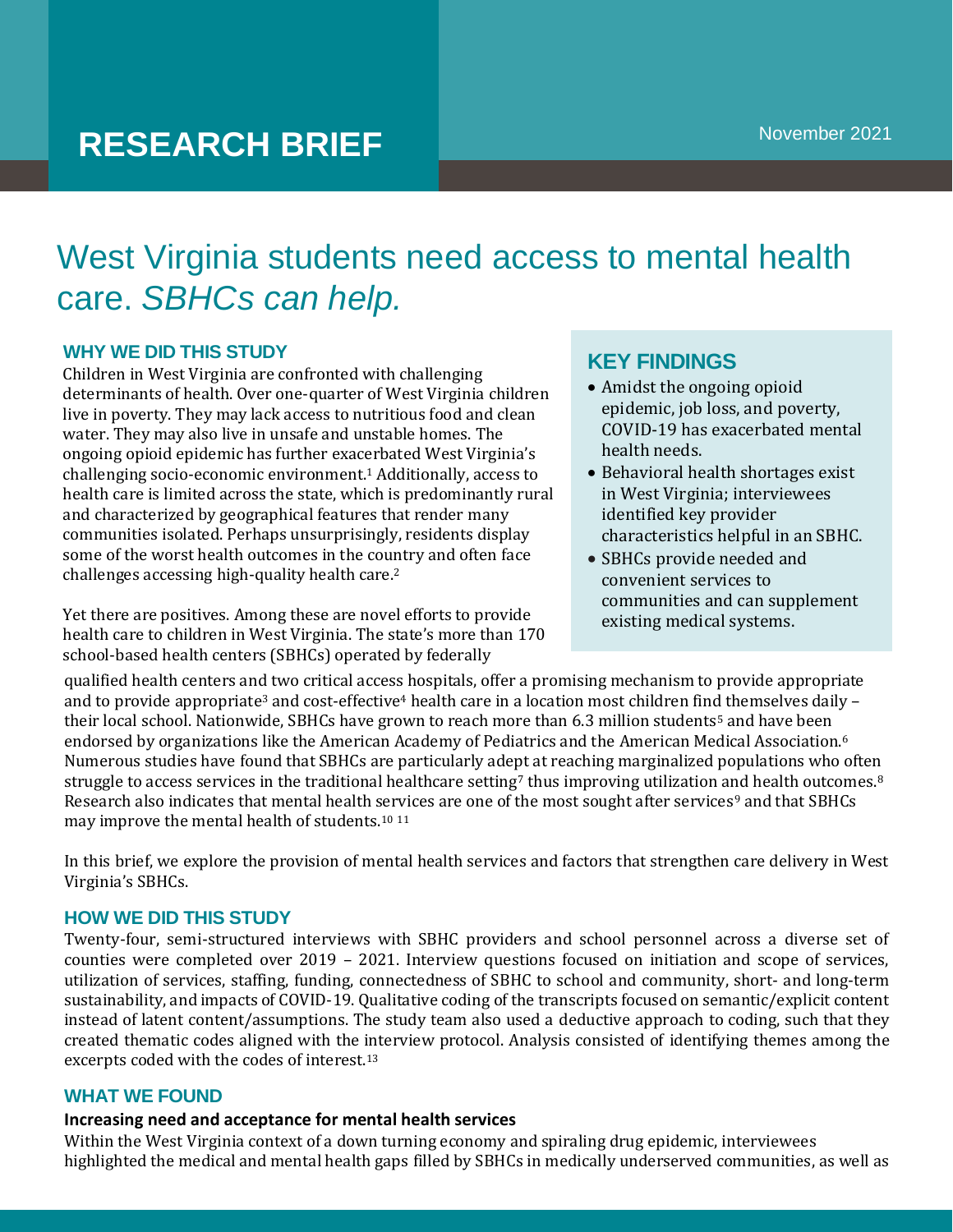# **RESEARCH BRIEF**

## West Virginia students need access to mental health care. *SBHCs can help.*

#### **WHY WE DID THIS STUDY**

Children in West Virginia are confronted with challenging determinants of health. Over one-quarter of West Virginia children live in poverty. They may lack access to nutritious food and clean water. They may also live in unsafe and unstable homes. The ongoing opioid epidemic has further exacerbated West Virginia's challenging socio-economic environment.<sup>1</sup> Additionally, access to health care is limited across the state, which is predominantly rural and characterized by geographical features that render many communities isolated. Perhaps unsurprisingly, residents display some of the worst health outcomes in the country and often face challenges accessing high-quality health care.<sup>2</sup>

Yet there are positives. Among these are novel efforts to provide health care to children in West Virginia. The state's more than 170 school-based health centers (SBHCs) operated by federally

## **KEY FINDINGS**

- Amidst the ongoing opioid epidemic, job loss, and poverty, COVID-19 has exacerbated mental health needs.
- Behavioral health shortages exist in West Virginia; interviewees identified key provider characteristics helpful in an SBHC.
- SBHCs provide needed and convenient services to communities and can supplement existing medical systems.

qualified health centers and two critical access hospitals, offer a promising mechanism to provide appropriate and to provide appropriate<sup>3</sup> and cost-effective<sup>4</sup> health care in a location most children find themselves daily their local school. Nationwide, SBHCs have grown to reach more than 6.3 million students<sup>5</sup> and have been endorsed by organizations like the American Academy of Pediatrics and the American Medical Association.<sup>6</sup> Numerous studies have found that SBHCs are particularly adept at reaching marginalized populations who often struggle to access services in the traditional healthcare setting<sup>7</sup> thus improving utilization and health outcomes.<sup>8</sup> Research also indicates that mental health services are one of the most sought after services<sup>9</sup> and that SBHCs may improve the mental health of students.<sup>10</sup> <sup>11</sup>

In this brief, we explore the provision of mental health services and factors that strengthen care delivery in West Virginia's SBHCs.

#### **HOW WE DID THIS STUDY**

Twenty-four, semi-structured interviews with SBHC providers and school personnel across a diverse set of counties were completed over 2019 – 2021. Interview questions focused on initiation and scope of services, utilization of services, staffing, funding, connectedness of SBHC to school and community, short- and long-term sustainability, and impacts of COVID-19. Qualitative coding of the transcripts focused on semantic/explicit content instead of latent content/assumptions. The study team also used a deductive approach to coding, such that they created thematic codes aligned with the interview protocol. Analysis consisted of identifying themes among the excerpts coded with the codes of interest.<sup>13</sup>

#### **WHAT WE FOUND**

#### **Increasing need and acceptance for mental health services**

Within the West Virginia context of a down turning economy and spiraling drug epidemic, interviewees highlighted the medical and mental health gaps filled by SBHCs in medically underserved communities, as well as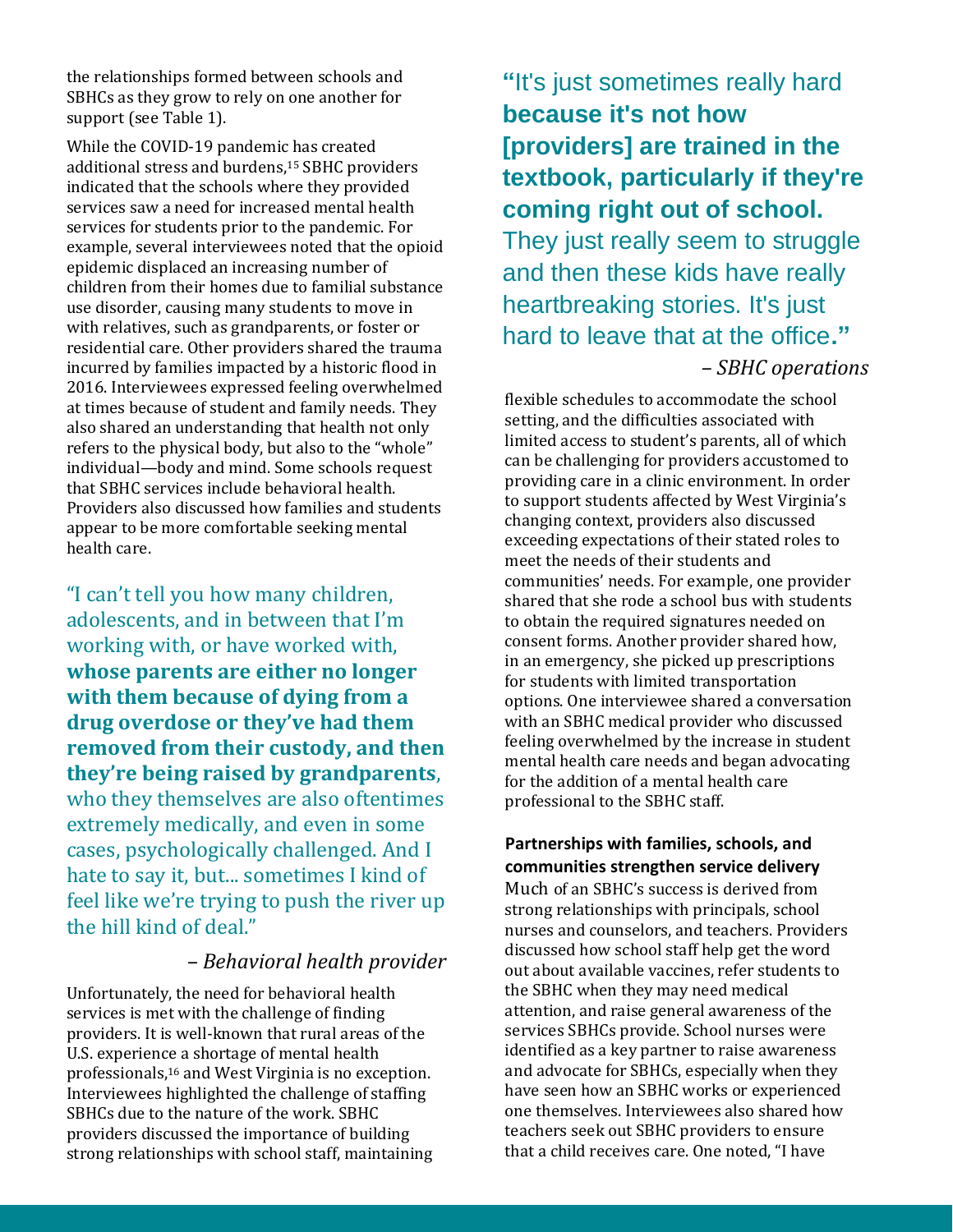the relationships formed between schools and SBHCs as they grow to rely on one another for support (see Table 1).

While the COVID-19 pandemic has created additional stress and burdens,<sup>15</sup> SBHC providers indicated that the schools where they provided services saw a need for increased mental health services for students prior to the pandemic. For example, several interviewees noted that the opioid epidemic displaced an increasing number of children from their homes due to familial substance use disorder, causing many students to move in with relatives, such as grandparents, or foster or residential care. Other providers shared the trauma incurred by families impacted by a historic flood in 2016. Interviewees expressed feeling overwhelmed at times because of student and family needs. They also shared an understanding that health not only refers to the physical body, but also to the "whole" individual—body and mind. Some schools request that SBHC services include behavioral health. Providers also discussed how families and students appear to be more comfortable seeking mental health care.

"I can't tell you how many children, adolescents, and in between that I'm working with, or have worked with, **whose parents are either no longer with them because of dying from a drug overdose or they've had them removed from their custody, and then they're being raised by grandparents**, who they themselves are also oftentimes extremely medically, and even in some cases, psychologically challenged. And I hate to say it, but... sometimes I kind of feel like we're trying to push the river up the hill kind of deal."

### *– Behavioral health provider*

Unfortunately, the need for behavioral health services is met with the challenge of finding providers. It is well-known that rural areas of the U.S. experience a shortage of mental health professionals,<sup>16</sup> and West Virginia is no exception. Interviewees highlighted the challenge of staffing SBHCs due to the nature of the work. SBHC providers discussed the importance of building strong relationships with school staff, maintaining

**"**It's just sometimes really hard **because it's not how [providers] are trained in the textbook, particularly if they're coming right out of school.**  They just really seem to struggle and then these kids have really heartbreaking stories. It's just hard to leave that at the office**."** 

#### *– SBHC operations*

flexible schedules to accommodate the school setting, and the difficulties associated with limited access to student's parents, all of which can be challenging for providers accustomed to providing care in a clinic environment. In order to support students affected by West Virginia's changing context, providers also discussed exceeding expectations of their stated roles to meet the needs of their students and communities' needs. For example, one provider shared that she rode a school bus with students to obtain the required signatures needed on consent forms. Another provider shared how, in an emergency, she picked up prescriptions for students with limited transportation options. One interviewee shared a conversation with an SBHC medical provider who discussed feeling overwhelmed by the increase in student mental health care needs and began advocating for the addition of a mental health care professional to the SBHC staff.

#### **Partnerships with families, schools, and communities strengthen service delivery**

Much of an SBHC's success is derived from strong relationships with principals, school nurses and counselors, and teachers. Providers discussed how school staff help get the word out about available vaccines, refer students to the SBHC when they may need medical attention, and raise general awareness of the services SBHCs provide. School nurses were identified as a key partner to raise awareness and advocate for SBHCs, especially when they have seen how an SBHC works or experienced one themselves. Interviewees also shared how teachers seek out SBHC providers to ensure that a child receives care. One noted, "I have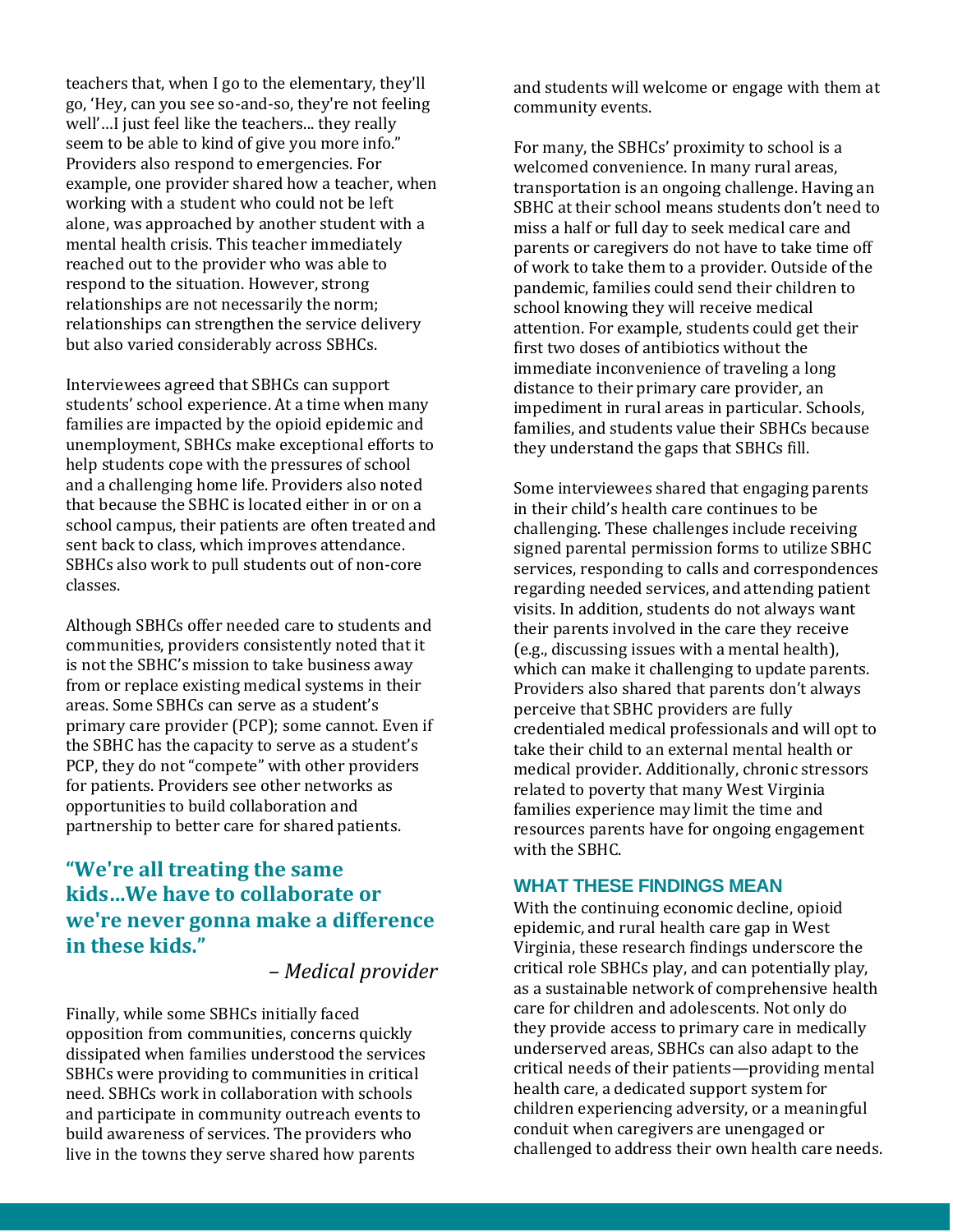teachers that, when I go to the elementary, they'll go, 'Hey, can you see so-and-so, they're not feeling well'…I just feel like the teachers... they really seem to be able to kind of give you more info." Providers also respond to emergencies. For example, one provider shared how a teacher, when working with a student who could not be left alone, was approached by another student with a mental health crisis. This teacher immediately reached out to the provider who was able to respond to the situation. However, strong relationships are not necessarily the norm; relationships can strengthen the service delivery but also varied considerably across SBHCs.

Interviewees agreed that SBHCs can support students' school experience. At a time when many families are impacted by the opioid epidemic and unemployment, SBHCs make exceptional efforts to help students cope with the pressures of school and a challenging home life. Providers also noted that because the SBHC is located either in or on a school campus, their patients are often treated and sent back to class, which improves attendance. SBHCs also work to pull students out of non-core classes.

Although SBHCs offer needed care to students and communities, providers consistently noted that it is not the SBHC's mission to take business away from or replace existing medical systems in their areas. Some SBHCs can serve as a student's primary care provider (PCP); some cannot. Even if the SBHC has the capacity to serve as a student's PCP, they do not "compete" with other providers for patients. Providers see other networks as opportunities to build collaboration and partnership to better care for shared patients.

## **"We're all treating the same kids…We have to collaborate or we're never gonna make a difference in these kids."**

*– Medical provider*

Finally, while some SBHCs initially faced opposition from communities, concerns quickly dissipated when families understood the services SBHCs were providing to communities in critical need. SBHCs work in collaboration with schools and participate in community outreach events to build awareness of services. The providers who live in the towns they serve shared how parents

and students will welcome or engage with them at community events.

For many, the SBHCs' proximity to school is a welcomed convenience. In many rural areas, transportation is an ongoing challenge. Having an SBHC at their school means students don't need to miss a half or full day to seek medical care and parents or caregivers do not have to take time off of work to take them to a provider. Outside of the pandemic, families could send their children to school knowing they will receive medical attention. For example, students could get their first two doses of antibiotics without the immediate inconvenience of traveling a long distance to their primary care provider, an impediment in rural areas in particular. Schools, families, and students value their SBHCs because they understand the gaps that SBHCs fill.

Some interviewees shared that engaging parents in their child's health care continues to be challenging. These challenges include receiving signed parental permission forms to utilize SBHC services, responding to calls and correspondences regarding needed services, and attending patient visits. In addition, students do not always want their parents involved in the care they receive (e.g., discussing issues with a mental health), which can make it challenging to update parents. Providers also shared that parents don't always perceive that SBHC providers are fully credentialed medical professionals and will opt to take their child to an external mental health or medical provider. Additionally, chronic stressors related to poverty that many West Virginia families experience may limit the time and resources parents have for ongoing engagement with the SBHC.

#### **WHAT THESE FINDINGS MEAN**

With the continuing economic decline, opioid epidemic, and rural health care gap in West Virginia, these research findings underscore the critical role SBHCs play, and can potentially play, as a sustainable network of comprehensive health care for children and adolescents. Not only do they provide access to primary care in medically underserved areas, SBHCs can also adapt to the critical needs of their patients—providing mental health care, a dedicated support system for children experiencing adversity, or a meaningful conduit when caregivers are unengaged or challenged to address their own health care needs.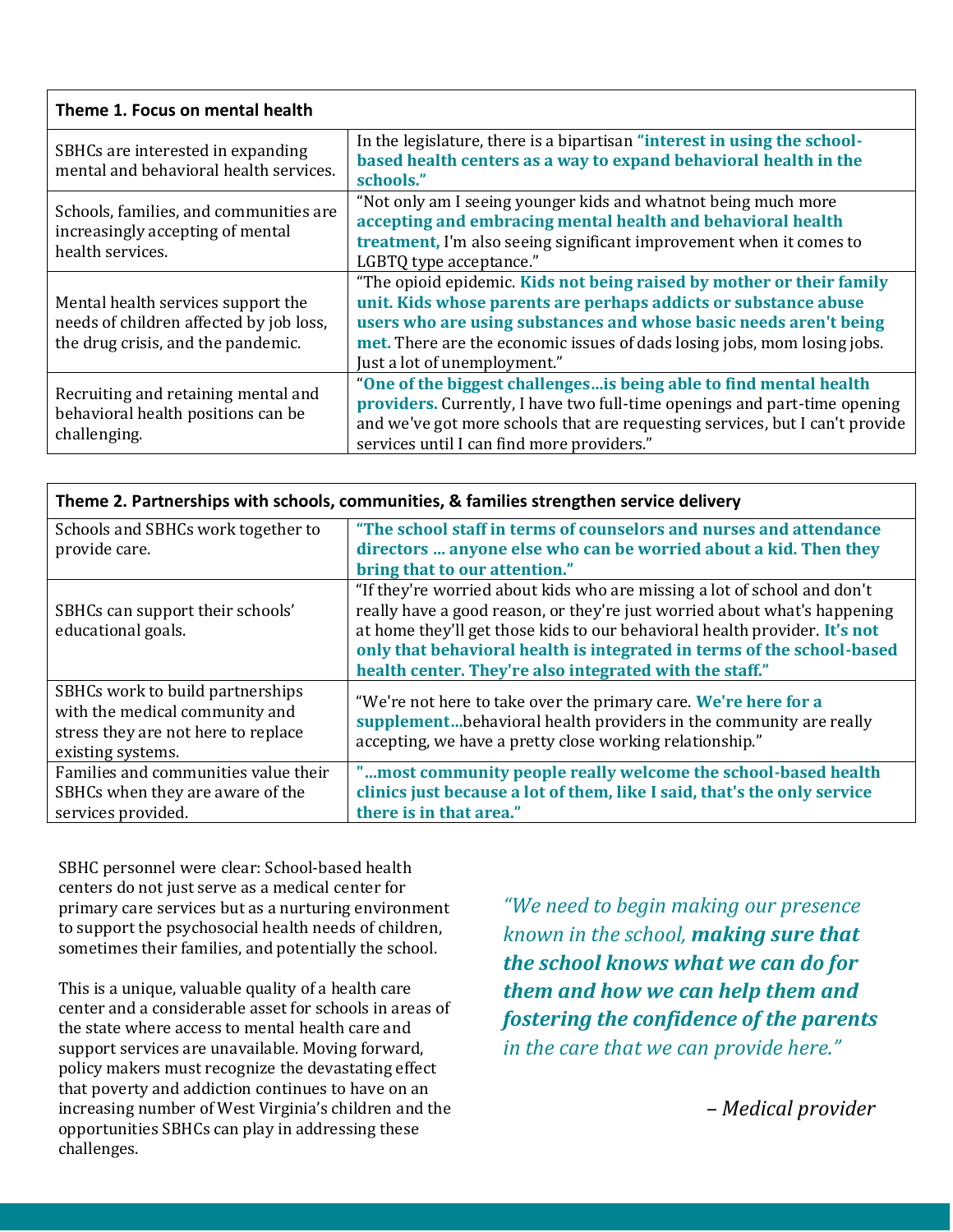#### **Theme 1. Focus on mental health**

| SBHCs are interested in expanding<br>mental and behavioral health services.                                         | In the legislature, there is a bipartisan "interest in using the school-<br>based health centers as a way to expand behavioral health in the<br>schools."                                                                                                                                                                 |
|---------------------------------------------------------------------------------------------------------------------|---------------------------------------------------------------------------------------------------------------------------------------------------------------------------------------------------------------------------------------------------------------------------------------------------------------------------|
| Schools, families, and communities are<br>increasingly accepting of mental<br>health services.                      | "Not only am I seeing younger kids and whatnot being much more<br>accepting and embracing mental health and behavioral health<br>treatment, I'm also seeing significant improvement when it comes to<br>LGBTQ type acceptance."                                                                                           |
| Mental health services support the<br>needs of children affected by job loss,<br>the drug crisis, and the pandemic. | "The opioid epidemic. Kids not being raised by mother or their family<br>unit. Kids whose parents are perhaps addicts or substance abuse<br>users who are using substances and whose basic needs aren't being<br>met. There are the economic issues of dads losing jobs, mom losing jobs.<br>Just a lot of unemployment." |
| Recruiting and retaining mental and<br>behavioral health positions can be<br>challenging.                           | "One of the biggest challenges is being able to find mental health<br>providers. Currently, I have two full-time openings and part-time opening<br>and we've got more schools that are requesting services, but I can't provide<br>services until I can find more providers."                                             |

| Theme 2. Partnerships with schools, communities, & families strengthen service delivery                                        |                                                                                                                                                                                                                                                                                                                                                                          |
|--------------------------------------------------------------------------------------------------------------------------------|--------------------------------------------------------------------------------------------------------------------------------------------------------------------------------------------------------------------------------------------------------------------------------------------------------------------------------------------------------------------------|
| Schools and SBHCs work together to<br>provide care.                                                                            | "The school staff in terms of counselors and nurses and attendance<br>directors  anyone else who can be worried about a kid. Then they<br>bring that to our attention."                                                                                                                                                                                                  |
| SBHCs can support their schools'<br>educational goals.                                                                         | "If they're worried about kids who are missing a lot of school and don't<br>really have a good reason, or they're just worried about what's happening<br>at home they'll get those kids to our behavioral health provider. It's not<br>only that behavioral health is integrated in terms of the school-based<br>health center. They're also integrated with the staff." |
| SBHCs work to build partnerships<br>with the medical community and<br>stress they are not here to replace<br>existing systems. | "We're not here to take over the primary care. We're here for a<br>supplementbehavioral health providers in the community are really<br>accepting, we have a pretty close working relationship."                                                                                                                                                                         |
| Families and communities value their<br>SBHCs when they are aware of the<br>services provided.                                 | "most community people really welcome the school-based health<br>clinics just because a lot of them, like I said, that's the only service<br>there is in that area."                                                                                                                                                                                                     |

SBHC personnel were clear: School-based health centers do not just serve as a medical center for primary care services but as a nurturing environment to support the psychosocial health needs of children, sometimes their families, and potentially the school.

This is a unique, valuable quality of a health care center and a considerable asset for schools in areas of the state where access to mental health care and support services are unavailable. Moving forward, policy makers must recognize the devastating effect that poverty and addiction continues to have on an increasing number of West Virginia's children and the opportunities SBHCs can play in addressing these challenges.

*"We need to begin making our presence known in the school, making sure that the school knows what we can do for them and how we can help them and fostering the confidence of the parents in the care that we can provide here."*

*– Medical provider*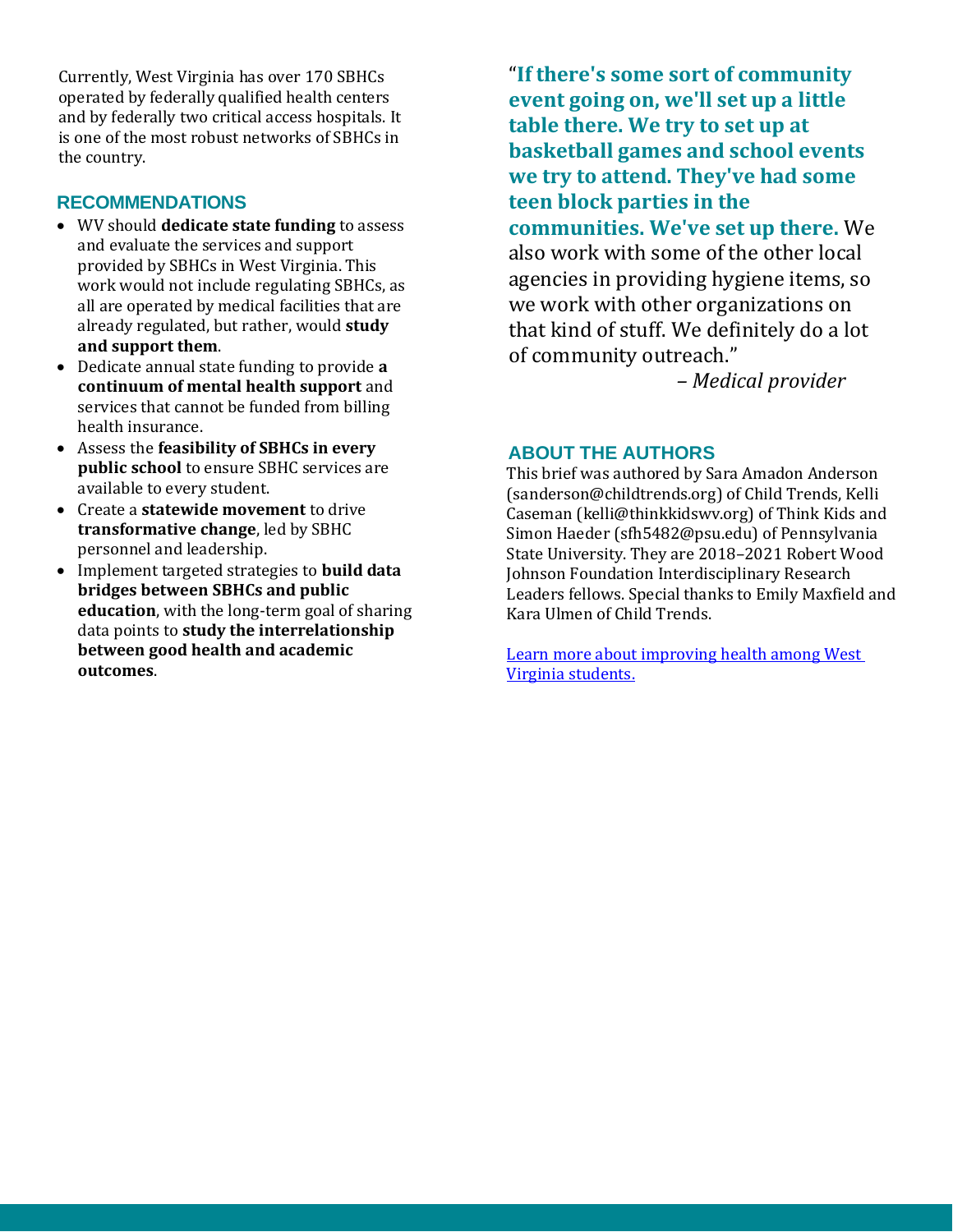Currently, West Virginia has over 170 SBHCs operated by federally qualified health centers and by federally two critical access hospitals. It is one of the most robust networks of SBHCs in the country.

#### **RECOMMENDATIONS**

- WV should **dedicate state funding** to assess and evaluate the services and support provided by SBHCs in West Virginia. This work would not include regulating SBHCs, as all are operated by medical facilities that are already regulated, but rather, would **study and support them**.
- Dedicate annual state funding to provide **a continuum of mental health support** and services that cannot be funded from billing health insurance.
- Assess the **feasibility of SBHCs in every public school** to ensure SBHC services are available to every student.
- Create a **statewide movement** to drive **transformative change**, led by SBHC personnel and leadership.
- Implement targeted strategies to **build data bridges between SBHCs and public education**, with the long-term goal of sharing data points to **study the interrelationship between good health and academic outcomes**.

"**If there's some sort of community event going on, we'll set up a little table there. We try to set up at basketball games and school events we try to attend. They've had some teen block parties in the communities. We've set up there.** We also work with some of the other local agencies in providing hygiene items, so we work with other organizations on that kind of stuff. We definitely do a lot

*– Medical provider* 

#### **ABOUT THE AUTHORS**

of community outreach."

This brief was authored by Sara Amadon Anderson (sanderson@childtrends.org) of Child Trends, Kelli Caseman (kelli@thinkkidswv.org) of Think Kids and Simon Haeder (sfh5482@psu.edu) of Pennsylvania State University. They are 2018–2021 Robert Wood Johnson Foundation Interdisciplinary Research Leaders fellows. Special thanks to Emily Maxfield and Kara Ulmen of Child Trends.

[Learn more about improving health among West](https://schoolhealth.la.psu.edu/)  [Virginia students.](https://schoolhealth.la.psu.edu/)